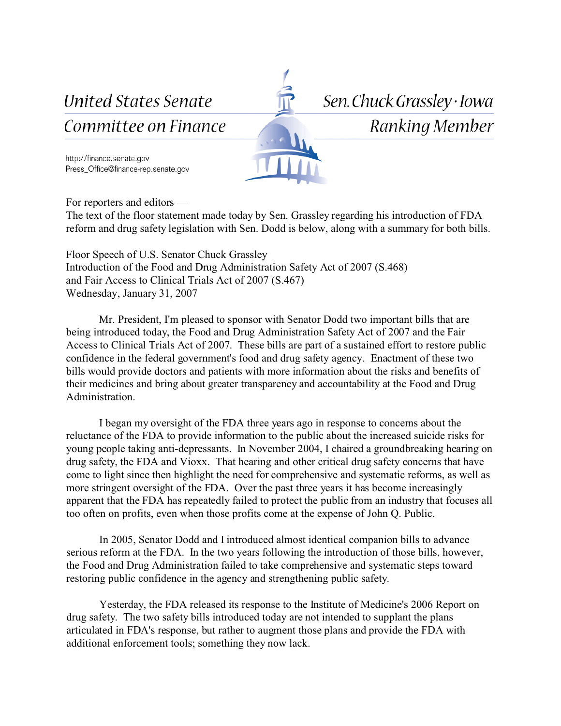**United States Senate** 

Committee on Finance

Sen. Chuck Grassley · Iowa

Ranking Member

http://finance.senate.gov Press\_Office@finance-rep.senate.gov

For reporters and editors —

The text of the floor statement made today by Sen. Grassley regarding his introduction of FDA reform and drug safety legislation with Sen. Dodd is below, along with a summary for both bills.

Floor Speech of U.S. Senator Chuck Grassley Introduction of the Food and Drug Administration Safety Act of 2007 (S.468) and Fair Access to Clinical Trials Act of 2007 (S.467) Wednesday, January 31, 2007

Mr. President, I'm pleased to sponsor with Senator Dodd two important bills that are being introduced today, the Food and Drug Administration Safety Act of 2007 and the Fair Access to Clinical Trials Act of 2007. These bills are part of a sustained effort to restore public confidence in the federal government's food and drug safety agency. Enactment of these two bills would provide doctors and patients with more information about the risks and benefits of their medicines and bring about greater transparency and accountability at the Food and Drug Administration.

I began my oversight of the FDA three years ago in response to concerns about the reluctance of the FDA to provide information to the public about the increased suicide risks for young people taking anti-depressants. In November 2004, I chaired a groundbreaking hearing on drug safety, the FDA and Vioxx. That hearing and other critical drug safety concerns that have come to light since then highlight the need for comprehensive and systematic reforms, as well as more stringent oversight of the FDA. Over the past three years it has become increasingly apparent that the FDA has repeatedly failed to protect the public from an industry that focuses all too often on profits, even when those profits come at the expense of John Q. Public.

In 2005, Senator Dodd and I introduced almost identical companion bills to advance serious reform at the FDA. In the two years following the introduction of those bills, however, the Food and Drug Administration failed to take comprehensive and systematic steps toward restoring public confidence in the agency and strengthening public safety.

Yesterday, the FDA released its response to the Institute of Medicine's 2006 Report on drug safety. The two safety bills introduced today are not intended to supplant the plans articulated in FDA's response, but rather to augment those plans and provide the FDA with additional enforcement tools; something they now lack.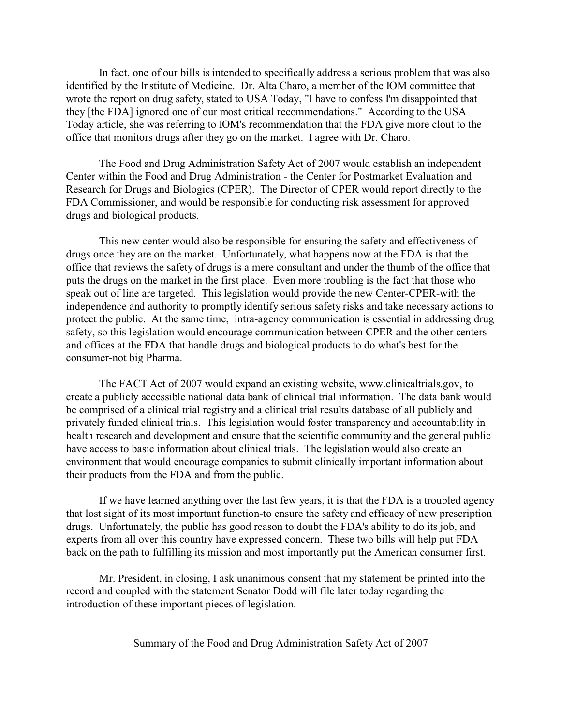In fact, one of our bills is intended to specifically address a serious problem that was also identified by the Institute of Medicine. Dr. Alta Charo, a member of the IOM committee that wrote the report on drug safety, stated to USA Today, "I have to confess I'm disappointed that they [the FDA] ignored one of our most critical recommendations." According to the USA Today article, she was referring to IOM's recommendation that the FDA give more clout to the office that monitors drugs after they go on the market. I agree with Dr. Charo.

The Food and Drug Administration Safety Act of 2007 would establish an independent Center within the Food and Drug Administration - the Center for Postmarket Evaluation and Research for Drugs and Biologics (CPER). The Director of CPER would report directly to the FDA Commissioner, and would be responsible for conducting risk assessment for approved drugs and biological products.

This new center would also be responsible for ensuring the safety and effectiveness of drugs once they are on the market. Unfortunately, what happens now at the FDA is that the office that reviews the safety of drugs is a mere consultant and under the thumb of the office that puts the drugs on the market in the first place. Even more troubling is the fact that those who speak out of line are targeted. This legislation would provide the new Center-CPER-with the independence and authority to promptly identify serious safety risks and take necessary actions to protect the public. At the same time, intra-agency communication is essential in addressing drug safety, so this legislation would encourage communication between CPER and the other centers and offices at the FDA that handle drugs and biological products to do what's best for the consumer-not big Pharma.

The FACT Act of 2007 would expand an existing website, www.clinicaltrials.gov, to create a publicly accessible national data bank of clinical trial information. The data bank would be comprised of a clinical trial registry and a clinical trial results database of all publicly and privately funded clinical trials. This legislation would foster transparency and accountability in health research and development and ensure that the scientific community and the general public have access to basic information about clinical trials. The legislation would also create an environment that would encourage companies to submit clinically important information about their products from the FDA and from the public.

If we have learned anything over the last few years, it is that the FDA is a troubled agency that lost sight of its most important function-to ensure the safety and efficacy of new prescription drugs. Unfortunately, the public has good reason to doubt the FDA's ability to do its job, and experts from all over this country have expressed concern. These two bills will help put FDA back on the path to fulfilling its mission and most importantly put the American consumer first.

Mr. President, in closing, I ask unanimous consent that my statement be printed into the record and coupled with the statement Senator Dodd will file later today regarding the introduction of these important pieces of legislation.

Summary of the Food and Drug Administration Safety Act of 2007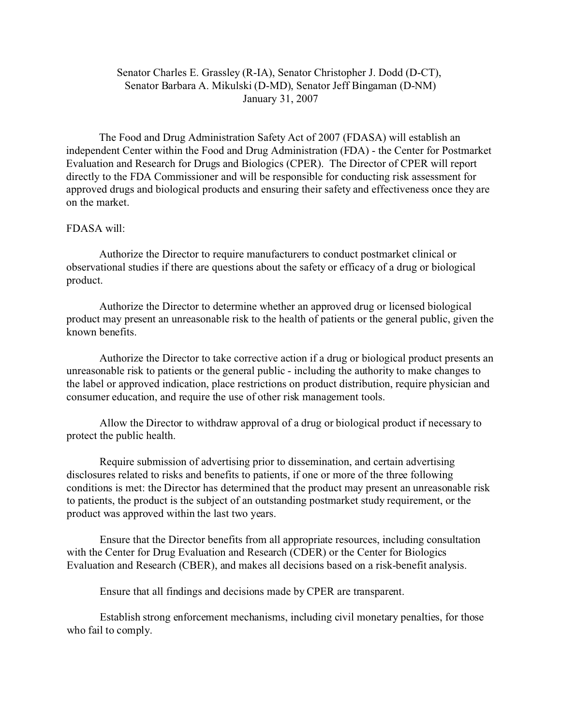## Senator Charles E. Grassley (R-IA), Senator Christopher J. Dodd (D-CT), Senator Barbara A. Mikulski (D-MD), Senator Jeff Bingaman (D-NM) January 31, 2007

The Food and Drug Administration Safety Act of 2007 (FDASA) will establish an independent Center within the Food and Drug Administration (FDA) - the Center for Postmarket Evaluation and Research for Drugs and Biologics (CPER). The Director of CPER will report directly to the FDA Commissioner and will be responsible for conducting risk assessment for approved drugs and biological products and ensuring their safety and effectiveness once they are on the market.

## FDASA will:

Authorize the Director to require manufacturers to conduct postmarket clinical or observational studies if there are questions about the safety or efficacy of a drug or biological product.

Authorize the Director to determine whether an approved drug or licensed biological product may present an unreasonable risk to the health of patients or the general public, given the known benefits.

Authorize the Director to take corrective action if a drug or biological product presents an unreasonable risk to patients or the general public - including the authority to make changes to the label or approved indication, place restrictions on product distribution, require physician and consumer education, and require the use of other risk management tools.

Allow the Director to withdraw approval of a drug or biological product if necessary to protect the public health.

Require submission of advertising prior to dissemination, and certain advertising disclosures related to risks and benefits to patients, if one or more of the three following conditions is met: the Director has determined that the product may present an unreasonable risk to patients, the product is the subject of an outstanding postmarket study requirement, or the product was approved within the last two years.

Ensure that the Director benefits from all appropriate resources, including consultation with the Center for Drug Evaluation and Research (CDER) or the Center for Biologics Evaluation and Research (CBER), and makes all decisions based on a risk-benefit analysis.

Ensure that all findings and decisions made by CPER are transparent.

Establish strong enforcement mechanisms, including civil monetary penalties, for those who fail to comply.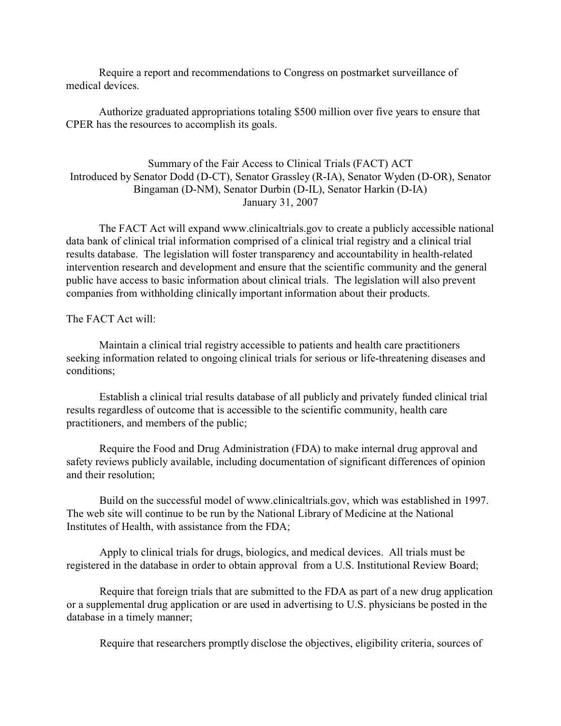Require a report and recommendations to Congress on postmarket surveillance of medical devices.

Authorize graduated appropriations totaling \$500 million over five years to ensure that CPER has the resources to accomplish its goals.

## Summary of the Fair Access to Clinical Trials (FACT) ACT Introduced by Senator Dodd (D-CT), Senator Grassley (R-IA), Senator Wyden (D-OR), Senator Bingaman (D-NM), Senator Durbin (D-IL), Senator Harkin (D-IA) January 31, 2007

The FACT Act will expand www.clinicaltrials.gov to create a publicly accessible national data bank of clinical trial information comprised of a clinical trial registry and a clinical trial results database. The legislation will foster transparency and accountability in health-related intervention research and development and ensure that the scientific community and the general public have access to basic information about clinical trials. The legislation will also prevent companies from withholding clinically important information about their products.

The FACT Act will:

Maintain a clinical trial registry accessible to patients and health care practitioners seeking information related to ongoing clinical trials for serious or life-threatening diseases and conditions;

Establish a clinical trial results database of all publicly and privately funded clinical trial results regardless of outcome that is accessible to the scientific community, health care practitioners, and members of the public;

Require the Food and Drug Administration (FDA) to make internal drug approval and safety reviews publicly available, including documentation of significant differences of opinion and their resolution;

Build on the successful model of www.clinicaltrials.gov, which was established in 1997. The web site will continue to be run by the National Library of Medicine at the National Institutes of Health, with assistance from the FDA;

Apply to clinical trials for drugs, biologics, and medical devices. All trials must be registered in the database in order to obtain approval from a U.S. Institutional Review Board;

Require that foreign trials that are submitted to the FDA as part of a new drug application or a supplemental drug application or are used in advertising to U.S. physicians be posted in the database in a timely manner;

Require that researchers promptly disclose the objectives, eligibility criteria, sources of